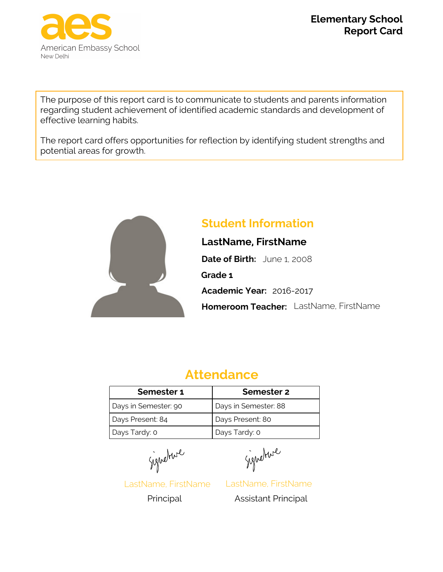

**Report Card Elementary School**

The purpose of this report card is to communicate to students and parents information regarding student achievement of identified academic standards and development of effective learning habits.

The report card offers opportunities for reflection by identifying student strengths and potential areas for growth.



# **Student Information**

**LastName, FirstName Date of Birth:** June 1, 2008 **Academic Year:** 2016-2017 **Grade 1 Homeroom Teacher:** LastName, FirstName

# **Attendance**

| Semester 1           | Semester 2           |
|----------------------|----------------------|
| Days in Semester: 90 | Days in Semester: 88 |
| Days Present: 84     | Days Present: 80     |
| Days Tardy: 0        | Days Tardy: 0        |

Signature

LastName, FirstName

Signeture

LastName, FirstName Principal Assistant Principal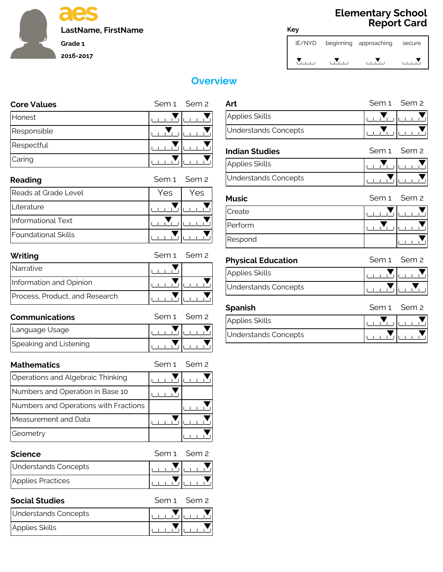

## **Report Card Elementary School**

| IE/NYD | beginning approaching | secure |
|--------|-----------------------|--------|
|        |                       |        |

|                    | <b>Overview</b>                 |
|--------------------|---------------------------------|
| <b>Core Values</b> | Art<br>Sem 1 Sem 2              |
| Honest             | Ap                              |
| Responsible        | Un                              |
| Respectful         | Ind                             |
| Caring             | Ap                              |
| Reading            | Un<br>Sem 2<br>Sem <sub>1</sub> |

| Reading              | Sem 1 Sem 2 |     |
|----------------------|-------------|-----|
| Reads at Grade Level | Yes         | Yes |
| Literature           |             |     |
| Informational Text   |             |     |
| Foundational Skills  |             |     |

| Foundational Skills            |             |
|--------------------------------|-------------|
| Writing                        | Sem 1 Sem 2 |
| Narrative                      |             |
| Information and Opinion        |             |
| Process, Product, and Research |             |

| Process, Product, and Research |             |
|--------------------------------|-------------|
| <b>Communications</b>          | Sem 1 Sem 2 |
| Language Usage                 |             |
| Speaking and Listening         |             |

| Speaking and Listening                |             |
|---------------------------------------|-------------|
| <b>Mathematics</b>                    | Sem 1 Sem 2 |
| Operations and Algebraic Thinking     |             |
| Numbers and Operation in Base 10      |             |
| Numbers and Operations with Fractions |             |
| Measurement and Data                  |             |
| Geometry                              |             |

| Geometry             |             |
|----------------------|-------------|
| <b>Science</b>       | Sem 1 Sem 2 |
| Understands Concepts |             |
| Applies Practices    |             |

| Applies Practices     |             |
|-----------------------|-------------|
| <b>Social Studies</b> | Sem 1 Sem 2 |
| Understands Concepts  |             |
| Applies Skills        |             |

| <b>WE</b>                   |             |             |
|-----------------------------|-------------|-------------|
| Art                         | Sem 1 Sem 2 |             |
| <b>Applies Skills</b>       |             |             |
| <b>Understands Concepts</b> |             |             |
| <b>Indian Studies</b>       |             | Sem 1 Sem 2 |
| <b>Applies Skills</b>       |             |             |
| <b>Understands Concepts</b> |             |             |

**Key**

| APPU <del>C</del> S JNIUS |  |
|---------------------------|--|
| Understands Concepts      |  |
|                           |  |

| <b>Understands Concepts</b> |                                   |  |
|-----------------------------|-----------------------------------|--|
| <b>Music</b>                | Sem <sub>1</sub> Sem <sub>2</sub> |  |
| Create                      |                                   |  |
| Perform                     |                                   |  |
| Respond                     |                                   |  |
| <b>Physical Education</b>   | Sem 1 Sem 2                       |  |
| <b>Applies Skills</b>       |                                   |  |
|                             |                                   |  |

| <b>Physical Education</b> | Sem 1 Sem 2 |  |
|---------------------------|-------------|--|
|                           |             |  |

| <b>Physical Education</b> | Sem 1 Sem 2 |  |
|---------------------------|-------------|--|
| Applies Skills            |             |  |
| Understands Concepts      |             |  |

| Understands Concepts |             |  |
|----------------------|-------------|--|
| <b>Spanish</b>       | Sem 1 Sem 2 |  |
| Applies Skills       |             |  |
| Understands Concepts |             |  |